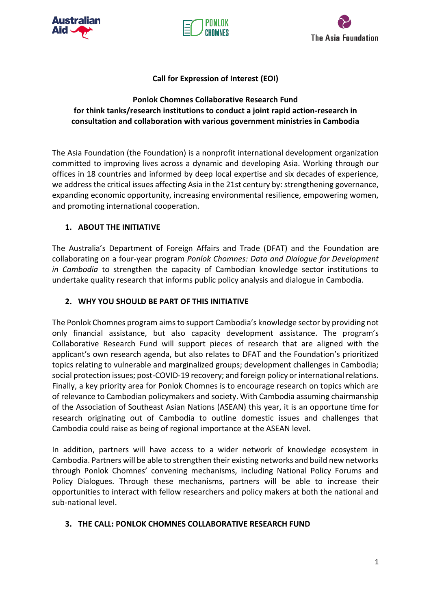





# **Call for Expression of Interest (EOI)**

# **Ponlok Chomnes Collaborative Research Fund for think tanks/research institutions to conduct a joint rapid action-research in consultation and collaboration with various government ministries in Cambodia**

The Asia Foundation (the Foundation) is a nonprofit international development organization committed to improving lives across a dynamic and developing Asia. Working through our offices in 18 countries and informed by deep local expertise and six decades of experience, we address the critical issues affecting Asia in the 21st century by: strengthening governance, expanding economic opportunity, increasing environmental resilience, empowering women, and promoting international cooperation.

# **1. ABOUT THE INITIATIVE**

The Australia's Department of Foreign Affairs and Trade (DFAT) and the Foundation are collaborating on a four-year program *Ponlok Chomnes: Data and Dialogue for Development in Cambodia* to strengthen the capacity of Cambodian knowledge sector institutions to undertake quality research that informs public policy analysis and dialogue in Cambodia.

# **2. WHY YOU SHOULD BE PART OF THIS INITIATIVE**

The Ponlok Chomnes program aims to support Cambodia's knowledge sector by providing not only financial assistance, but also capacity development assistance. The program's Collaborative Research Fund will support pieces of research that are aligned with the applicant's own research agenda, but also relates to DFAT and the Foundation's prioritized topics relating to vulnerable and marginalized groups; development challenges in Cambodia; social protection issues; post-COVID-19 recovery; and foreign policy or international relations. Finally, a key priority area for Ponlok Chomnes is to encourage research on topics which are of relevance to Cambodian policymakers and society. With Cambodia assuming chairmanship of the Association of Southeast Asian Nations (ASEAN) this year, it is an opportune time for research originating out of Cambodia to outline domestic issues and challenges that Cambodia could raise as being of regional importance at the ASEAN level.

In addition, partners will have access to a wider network of knowledge ecosystem in Cambodia. Partners will be able to strengthen their existing networks and build new networks through Ponlok Chomnes' convening mechanisms, including National Policy Forums and Policy Dialogues. Through these mechanisms, partners will be able to increase their opportunities to interact with fellow researchers and policy makers at both the national and sub-national level.

# **3. THE CALL: PONLOK CHOMNES COLLABORATIVE RESEARCH FUND**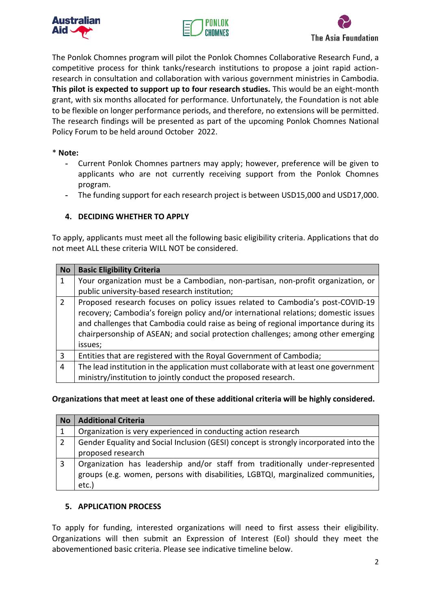





The Ponlok Chomnes program will pilot the Ponlok Chomnes Collaborative Research Fund, a competitive process for think tanks/research institutions to propose a joint rapid actionresearch in consultation and collaboration with various government ministries in Cambodia. **This pilot is expected to support up to four research studies.** This would be an eight-month grant, with six months allocated for performance. Unfortunately, the Foundation is not able to be flexible on longer performance periods, and therefore, no extensions will be permitted. The research findings will be presented as part of the upcoming Ponlok Chomnes National Policy Forum to be held around October 2022.

#### \* **Note:**

- **-** Current Ponlok Chomnes partners may apply; however, preference will be given to applicants who are not currently receiving support from the Ponlok Chomnes program.
- **-** The funding support for each research project is between USD15,000 and USD17,000.

### **4. DECIDING WHETHER TO APPLY**

To apply, applicants must meet all the following basic eligibility criteria. Applications that do not meet ALL these criteria WILL NOT be considered.

| <b>No</b>     | <b>Basic Eligibility Criteria</b>                                                                                                                                                                                                                                                                                                                           |  |
|---------------|-------------------------------------------------------------------------------------------------------------------------------------------------------------------------------------------------------------------------------------------------------------------------------------------------------------------------------------------------------------|--|
|               | Your organization must be a Cambodian, non-partisan, non-profit organization, or                                                                                                                                                                                                                                                                            |  |
|               | public university-based research institution;                                                                                                                                                                                                                                                                                                               |  |
| $\mathcal{P}$ | Proposed research focuses on policy issues related to Cambodia's post-COVID-19<br>recovery; Cambodia's foreign policy and/or international relations; domestic issues<br>and challenges that Cambodia could raise as being of regional importance during its<br>chairpersonship of ASEAN; and social protection challenges; among other emerging<br>issues; |  |
| 3             | Entities that are registered with the Royal Government of Cambodia;                                                                                                                                                                                                                                                                                         |  |
| 4             | The lead institution in the application must collaborate with at least one government<br>ministry/institution to jointly conduct the proposed research.                                                                                                                                                                                                     |  |

**Organizations that meet at least one of these additional criteria will be highly considered.**

| <b>No</b> | <b>Additional Criteria</b>                                                                                                                                                 |  |
|-----------|----------------------------------------------------------------------------------------------------------------------------------------------------------------------------|--|
| 1         | Organization is very experienced in conducting action research                                                                                                             |  |
| 2         | Gender Equality and Social Inclusion (GESI) concept is strongly incorporated into the<br>proposed research                                                                 |  |
| 3         | Organization has leadership and/or staff from traditionally under-represented<br>groups (e.g. women, persons with disabilities, LGBTQI, marginalized communities,<br>etc.) |  |

### **5. APPLICATION PROCESS**

To apply for funding, interested organizations will need to first assess their eligibility. Organizations will then submit an Expression of Interest (EoI) should they meet the abovementioned basic criteria. Please see indicative timeline below.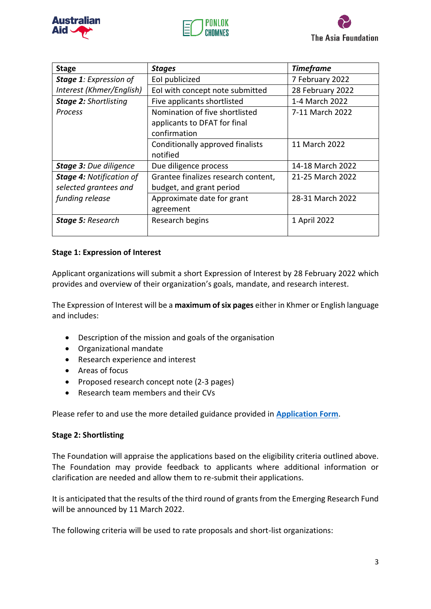





| <b>Stage</b>                    | <b>Stages</b>                       | <b>Timeframe</b> |
|---------------------------------|-------------------------------------|------------------|
| Stage 1: Expression of          | Eol publicized                      | 7 February 2022  |
| Interest (Khmer/English)        | EoI with concept note submitted     | 28 February 2022 |
| <b>Stage 2: Shortlisting</b>    | Five applicants shortlisted         | 1-4 March 2022   |
| Process                         | Nomination of five shortlisted      | 7-11 March 2022  |
|                                 | applicants to DFAT for final        |                  |
|                                 | confirmation                        |                  |
|                                 | Conditionally approved finalists    | 11 March 2022    |
|                                 | notified                            |                  |
| <b>Stage 3: Due diligence</b>   | Due diligence process               | 14-18 March 2022 |
| <b>Stage 4: Notification of</b> | Grantee finalizes research content, | 21-25 March 2022 |
| selected grantees and           | budget, and grant period            |                  |
| funding release                 | Approximate date for grant          | 28-31 March 2022 |
|                                 | agreement                           |                  |
| <b>Stage 5: Research</b>        | Research begins                     | 1 April 2022     |
|                                 |                                     |                  |

### **Stage 1: Expression of Interest**

Applicant organizations will submit a short Expression of Interest by 28 February 2022 which provides and overview of their organization's goals, mandate, and research interest.

The Expression of Interest will be a **maximum of six pages** either in Khmer or English language and includes:

- Description of the mission and goals of the organisation
- Organizational mandate
- Research experience and interest
- Areas of focus
- Proposed research concept note (2-3 pages)
- Research team members and their CVs

Please refer to and use the more detailed guidance provided in **[Application Form](https://forms.office.com/r/QefgRWqtdx)**.

### **Stage 2: Shortlisting**

The Foundation will appraise the applications based on the eligibility criteria outlined above. The Foundation may provide feedback to applicants where additional information or clarification are needed and allow them to re-submit their applications.

It is anticipated that the results of the third round of grants from the Emerging Research Fund will be announced by 11 March 2022.

The following criteria will be used to rate proposals and short-list organizations: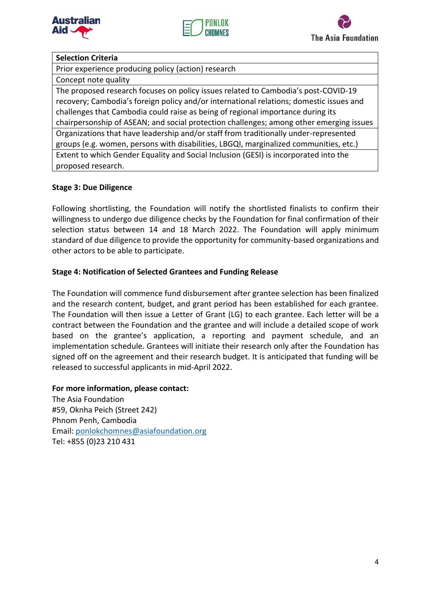





## **Selection Criteria**

Prior experience producing policy (action) research

### Concept note quality

The proposed research focuses on policy issues related to Cambodia's post-COVID-19 recovery; Cambodia's foreign policy and/or international relations; domestic issues and challenges that Cambodia could raise as being of regional importance during its chairpersonship of ASEAN; and social protection challenges; among other emerging issues Organizations that have leadership and/or staff from traditionally under-represented groups (e.g. women, persons with disabilities, LBGQI, marginalized communities, etc.) Extent to which Gender Equality and Social Inclusion (GESI) is incorporated into the proposed research.

### **Stage 3: Due Diligence**

Following shortlisting, the Foundation will notify the shortlisted finalists to confirm their willingness to undergo due diligence checks by the Foundation for final confirmation of their selection status between 14 and 18 March 2022. The Foundation will apply minimum standard of due diligence to provide the opportunity for community-based organizations and other actors to be able to participate.

### **Stage 4: Notification of Selected Grantees and Funding Release**

The Foundation will commence fund disbursement after grantee selection has been finalized and the research content, budget, and grant period has been established for each grantee. The Foundation will then issue a Letter of Grant (LG) to each grantee. Each letter will be a contract between the Foundation and the grantee and will include a detailed scope of work based on the grantee's application, a reporting and payment schedule, and an implementation schedule. Grantees will initiate their research only after the Foundation has signed off on the agreement and their research budget. It is anticipated that funding will be released to successful applicants in mid-April 2022.

### **For more information, please contact:**

The Asia Foundation #59, Oknha Peich (Street 242) Phnom Penh, Cambodia Email: [ponlokchomnes@asiafoundation.org](mailto:ponlokchomnes@asiafoundation.org) Tel: +855 (0)23 210 431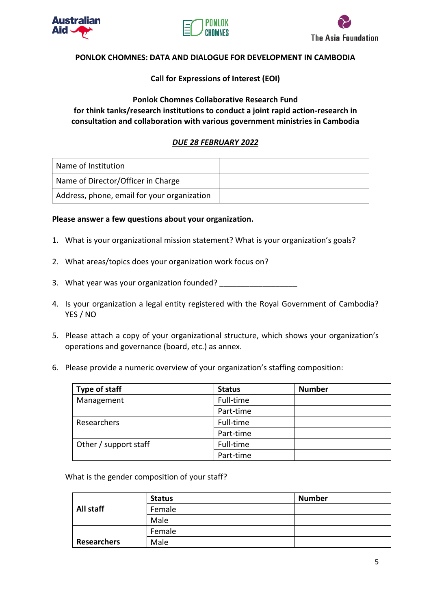





### **PONLOK CHOMNES: DATA AND DIALOGUE FOR DEVELOPMENT IN CAMBODIA**

### **Call for Expressions of Interest (EOI)**

### **Ponlok Chomnes Collaborative Research Fund for think tanks/research institutions to conduct a joint rapid action-research in consultation and collaboration with various government ministries in Cambodia**

### *DUE 28 FEBRUARY 2022*

| Name of Institution                         |  |
|---------------------------------------------|--|
| Name of Director/Officer in Charge          |  |
| Address, phone, email for your organization |  |

#### **Please answer a few questions about your organization.**

- 1. What is your organizational mission statement? What is your organization's goals?
- 2. What areas/topics does your organization work focus on?
- 3. What year was your organization founded?
- 4. Is your organization a legal entity registered with the Royal Government of Cambodia? YES / NO
- 5. Please attach a copy of your organizational structure, which shows your organization's operations and governance (board, etc.) as annex.
- 6. Please provide a numeric overview of your organization's staffing composition:

| Type of staff         | <b>Status</b> | <b>Number</b> |
|-----------------------|---------------|---------------|
| Management            | Full-time     |               |
|                       | Part-time     |               |
| Researchers           | Full-time     |               |
|                       | Part-time     |               |
| Other / support staff | Full-time     |               |
|                       | Part-time     |               |

What is the gender composition of your staff?

|                    | <b>Status</b> | <b>Number</b> |
|--------------------|---------------|---------------|
| All staff          | Female        |               |
|                    | Male          |               |
|                    | Female        |               |
| <b>Researchers</b> | Male          |               |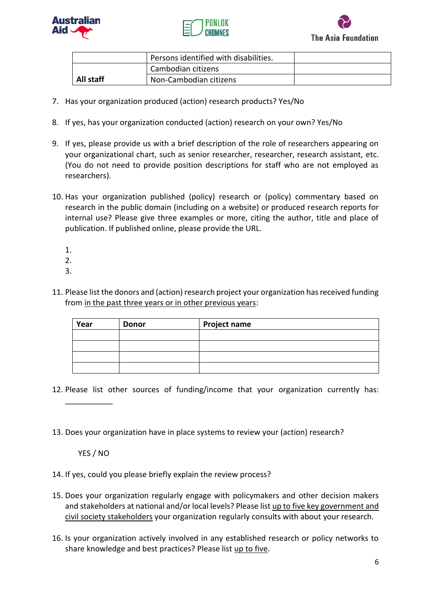





|           |                    | Persons identified with disabilities. |  |
|-----------|--------------------|---------------------------------------|--|
|           | Cambodian citizens |                                       |  |
| All staff |                    | Non-Cambodian citizens                |  |

- 7. Has your organization produced (action) research products? Yes/No
- 8. If yes, has your organization conducted (action) research on your own? Yes/No
- 9. If yes, please provide us with a brief description of the role of researchers appearing on your organizational chart, such as senior researcher, researcher, research assistant, etc. (You do not need to provide position descriptions for staff who are not employed as researchers).
- 10. Has your organization published (policy) research or (policy) commentary based on research in the public domain (including on a website) or produced research reports for internal use? Please give three examples or more, citing the author, title and place of publication. If published online, please provide the URL.
	- 1.
	- 2.
	- 3.
- 11. Please list the donors and (action) research project your organization has received funding from in the past three years or in other previous years:

| Year | <b>Donor</b> | <b>Project name</b> |
|------|--------------|---------------------|
|      |              |                     |
|      |              |                     |
|      |              |                     |
|      |              |                     |

- 12. Please list other sources of funding/income that your organization currently has:
- 13. Does your organization have in place systems to review your (action) research?

YES / NO

\_\_\_\_\_\_\_\_\_\_\_

- 14. If yes, could you please briefly explain the review process?
- 15. Does your organization regularly engage with policymakers and other decision makers and stakeholders at national and/or local levels? Please list up to five key government and civil society stakeholders your organization regularly consults with about your research.
- 16. Is your organization actively involved in any established research or policy networks to share knowledge and best practices? Please list up to five.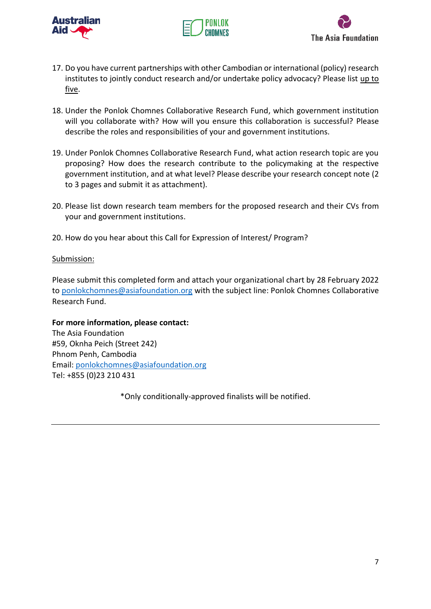





- 17. Do you have current partnerships with other Cambodian or international (policy) research institutes to jointly conduct research and/or undertake policy advocacy? Please list up to five.
- 18. Under the Ponlok Chomnes Collaborative Research Fund, which government institution will you collaborate with? How will you ensure this collaboration is successful? Please describe the roles and responsibilities of your and government institutions.
- 19. Under Ponlok Chomnes Collaborative Research Fund, what action research topic are you proposing? How does the research contribute to the policymaking at the respective government institution, and at what level? Please describe your research concept note (2 to 3 pages and submit it as attachment).
- 20. Please list down research team members for the proposed research and their CVs from your and government institutions.
- 20. How do you hear about this Call for Expression of Interest/ Program?

### Submission:

Please submit this completed form and attach your organizational chart by 28 February 2022 to [ponlokchomnes@asiafoundation.org](mailto:ponlokchomnes@asiafoundation.org) with the subject line: Ponlok Chomnes Collaborative Research Fund.

**For more information, please contact:** The Asia Foundation #59, Oknha Peich (Street 242) Phnom Penh, Cambodia Email: [ponlokchomnes@asiafoundation.org](mailto:ponlokchomnes@asiafoundation.org) Tel: +855 (0)23 210 431

\*Only conditionally-approved finalists will be notified.